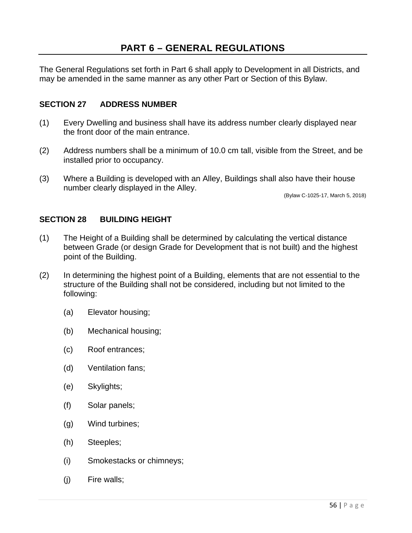The General Regulations set forth in Part 6 shall apply to Development in all Districts, and may be amended in the same manner as any other Part or Section of this Bylaw.

## **SECTION 27 ADDRESS NUMBER**

- (1) Every Dwelling and business shall have its address number clearly displayed near the front door of the main entrance.
- (2) Address numbers shall be a minimum of 10.0 cm tall, visible from the Street, and be installed prior to occupancy.
- (3) Where a Building is developed with an Alley, Buildings shall also have their house number clearly displayed in the Alley.

(Bylaw C-1025-17, March 5, 2018)

#### **SECTION 28 BUILDING HEIGHT**

- (1) The Height of a Building shall be determined by calculating the vertical distance between Grade (or design Grade for Development that is not built) and the highest point of the Building.
- (2) In determining the highest point of a Building, elements that are not essential to the structure of the Building shall not be considered, including but not limited to the following:
	- (a) Elevator housing;
	- (b) Mechanical housing;
	- (c) Roof entrances;
	- (d) Ventilation fans;
	- (e) Skylights;
	- (f) Solar panels;
	- (g) Wind turbines;
	- (h) Steeples;
	- (i) Smokestacks or chimneys;
	- (j) Fire walls;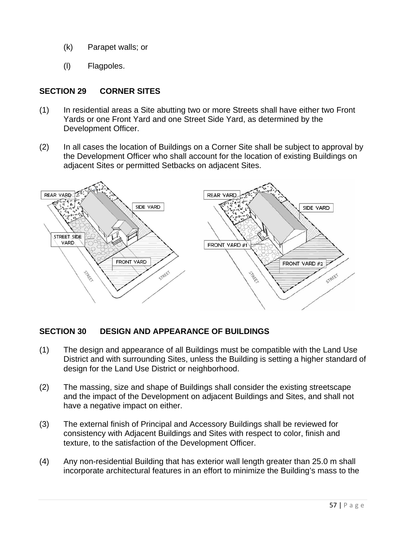- (k) Parapet walls; or
- (l) Flagpoles.

# **SECTION 29 CORNER SITES**

- (1) In residential areas a Site abutting two or more Streets shall have either two Front Yards or one Front Yard and one Street Side Yard, as determined by the Development Officer.
- (2) In all cases the location of Buildings on a Corner Site shall be subject to approval by the Development Officer who shall account for the location of existing Buildings on adjacent Sites or permitted Setbacks on adjacent Sites.



# **SECTION 30 DESIGN AND APPEARANCE OF BUILDINGS**

- (1) The design and appearance of all Buildings must be compatible with the Land Use District and with surrounding Sites, unless the Building is setting a higher standard of design for the Land Use District or neighborhood.
- (2) The massing, size and shape of Buildings shall consider the existing streetscape and the impact of the Development on adjacent Buildings and Sites, and shall not have a negative impact on either.
- (3) The external finish of Principal and Accessory Buildings shall be reviewed for consistency with Adjacent Buildings and Sites with respect to color, finish and texture, to the satisfaction of the Development Officer.
- (4) Any non-residential Building that has exterior wall length greater than 25.0 m shall incorporate architectural features in an effort to minimize the Building's mass to the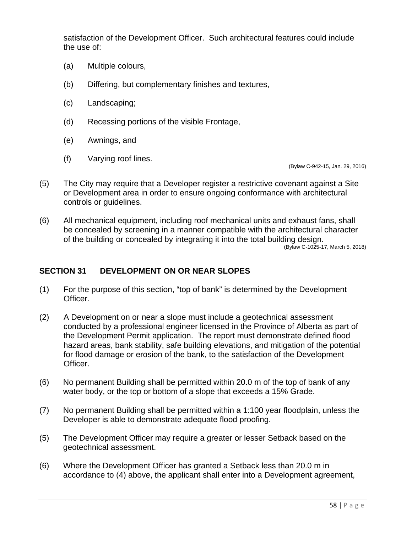satisfaction of the Development Officer. Such architectural features could include the use of:

- (a) Multiple colours,
- (b) Differing, but complementary finishes and textures,
- (c) Landscaping;
- (d) Recessing portions of the visible Frontage,
- (e) Awnings, and
- (f) Varying roof lines.

(Bylaw C-942-15, Jan. 29, 2016)

- (5) The City may require that a Developer register a restrictive covenant against a Site or Development area in order to ensure ongoing conformance with architectural controls or guidelines.
- (6) All mechanical equipment, including roof mechanical units and exhaust fans, shall be concealed by screening in a manner compatible with the architectural character of the building or concealed by integrating it into the total building design.

(Bylaw C-1025-17, March 5, 2018)

#### **SECTION 31 DEVELOPMENT ON OR NEAR SLOPES**

- (1) For the purpose of this section, "top of bank" is determined by the Development Officer.
- (2) A Development on or near a slope must include a geotechnical assessment conducted by a professional engineer licensed in the Province of Alberta as part of the Development Permit application. The report must demonstrate defined flood hazard areas, bank stability, safe building elevations, and mitigation of the potential for flood damage or erosion of the bank, to the satisfaction of the Development Officer.
- (6) No permanent Building shall be permitted within 20.0 m of the top of bank of any water body, or the top or bottom of a slope that exceeds a 15% Grade.
- (7) No permanent Building shall be permitted within a 1:100 year floodplain, unless the Developer is able to demonstrate adequate flood proofing.
- (5) The Development Officer may require a greater or lesser Setback based on the geotechnical assessment.
- (6) Where the Development Officer has granted a Setback less than 20.0 m in accordance to (4) above, the applicant shall enter into a Development agreement,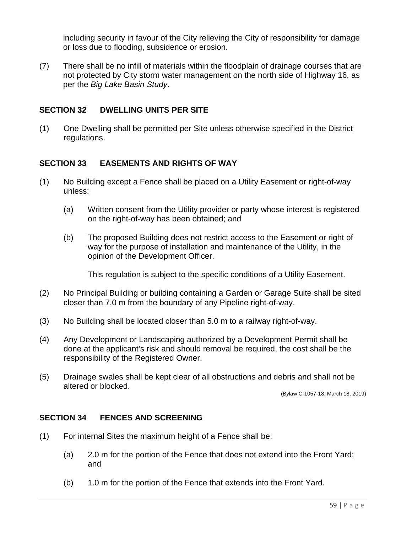including security in favour of the City relieving the City of responsibility for damage or loss due to flooding, subsidence or erosion.

(7) There shall be no infill of materials within the floodplain of drainage courses that are not protected by City storm water management on the north side of Highway 16, as per the *Big Lake Basin Study*.

### **SECTION 32 DWELLING UNITS PER SITE**

(1) One Dwelling shall be permitted per Site unless otherwise specified in the District regulations.

### **SECTION 33 EASEMENTS AND RIGHTS OF WAY**

- (1) No Building except a Fence shall be placed on a Utility Easement or right-of-way unless:
	- (a) Written consent from the Utility provider or party whose interest is registered on the right-of-way has been obtained; and
	- (b) The proposed Building does not restrict access to the Easement or right of way for the purpose of installation and maintenance of the Utility, in the opinion of the Development Officer.

This regulation is subject to the specific conditions of a Utility Easement.

- (2) No Principal Building or building containing a Garden or Garage Suite shall be sited closer than 7.0 m from the boundary of any Pipeline right-of-way.
- (3) No Building shall be located closer than 5.0 m to a railway right-of-way.
- (4) Any Development or Landscaping authorized by a Development Permit shall be done at the applicant's risk and should removal be required, the cost shall be the responsibility of the Registered Owner.
- (5) Drainage swales shall be kept clear of all obstructions and debris and shall not be altered or blocked.

(Bylaw C-1057-18, March 18, 2019)

#### **SECTION 34 FENCES AND SCREENING**

- (1) For internal Sites the maximum height of a Fence shall be:
	- (a) 2.0 m for the portion of the Fence that does not extend into the Front Yard; and
	- (b) 1.0 m for the portion of the Fence that extends into the Front Yard.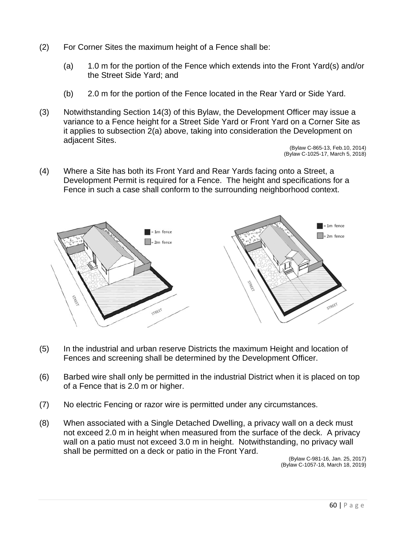- (2) For Corner Sites the maximum height of a Fence shall be:
	- (a) 1.0 m for the portion of the Fence which extends into the Front Yard(s) and/or the Street Side Yard; and
	- (b) 2.0 m for the portion of the Fence located in the Rear Yard or Side Yard.
- (3) Notwithstanding Section 14(3) of this Bylaw, the Development Officer may issue a variance to a Fence height for a Street Side Yard or Front Yard on a Corner Site as it applies to subsection 2(a) above, taking into consideration the Development on adjacent Sites.

(Bylaw C-865-13, Feb.10, 2014) (Bylaw C-1025-17, March 5, 2018)

(4) Where a Site has both its Front Yard and Rear Yards facing onto a Street, a Development Permit is required for a Fence. The height and specifications for a Fence in such a case shall conform to the surrounding neighborhood context.



- (5) In the industrial and urban reserve Districts the maximum Height and location of Fences and screening shall be determined by the Development Officer.
- (6) Barbed wire shall only be permitted in the industrial District when it is placed on top of a Fence that is 2.0 m or higher.
- (7) No electric Fencing or razor wire is permitted under any circumstances.
- (8) When associated with a Single Detached Dwelling, a privacy wall on a deck must not exceed 2.0 m in height when measured from the surface of the deck. A privacy wall on a patio must not exceed 3.0 m in height. Notwithstanding, no privacy wall shall be permitted on a deck or patio in the Front Yard.

 (Bylaw C-981-16, Jan. 25, 2017) (Bylaw C-1057-18, March 18, 2019)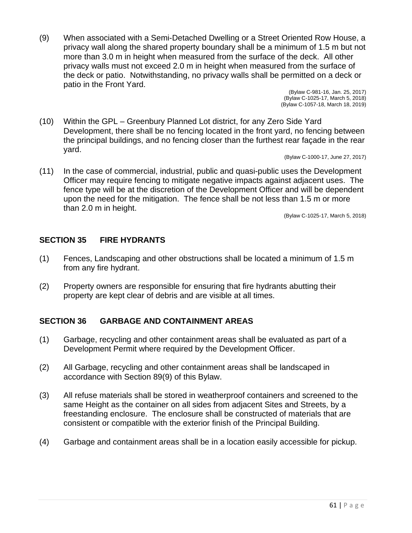(9) When associated with a Semi-Detached Dwelling or a Street Oriented Row House, a privacy wall along the shared property boundary shall be a minimum of 1.5 m but not more than 3.0 m in height when measured from the surface of the deck. All other privacy walls must not exceed 2.0 m in height when measured from the surface of the deck or patio. Notwithstanding, no privacy walls shall be permitted on a deck or patio in the Front Yard.

 (Bylaw C-981-16, Jan. 25, 2017) (Bylaw C-1025-17, March 5, 2018) (Bylaw C-1057-18, March 18, 2019)

(10) Within the GPL – Greenbury Planned Lot district, for any Zero Side Yard Development, there shall be no fencing located in the front yard, no fencing between the principal buildings, and no fencing closer than the furthest rear façade in the rear yard.

(Bylaw C-1000-17, June 27, 2017)

(11) In the case of commercial, industrial, public and quasi-public uses the Development Officer may require fencing to mitigate negative impacts against adjacent uses. The fence type will be at the discretion of the Development Officer and will be dependent upon the need for the mitigation. The fence shall be not less than 1.5 m or more than 2.0 m in height.

(Bylaw C-1025-17, March 5, 2018)

# **SECTION 35 FIRE HYDRANTS**

- (1) Fences, Landscaping and other obstructions shall be located a minimum of 1.5 m from any fire hydrant.
- (2) Property owners are responsible for ensuring that fire hydrants abutting their property are kept clear of debris and are visible at all times.

# **SECTION 36 GARBAGE AND CONTAINMENT AREAS**

- (1) Garbage, recycling and other containment areas shall be evaluated as part of a Development Permit where required by the Development Officer.
- (2) All Garbage, recycling and other containment areas shall be landscaped in accordance with Section 89(9) of this Bylaw.
- (3) All refuse materials shall be stored in weatherproof containers and screened to the same Height as the container on all sides from adjacent Sites and Streets, by a freestanding enclosure. The enclosure shall be constructed of materials that are consistent or compatible with the exterior finish of the Principal Building.
- (4) Garbage and containment areas shall be in a location easily accessible for pickup.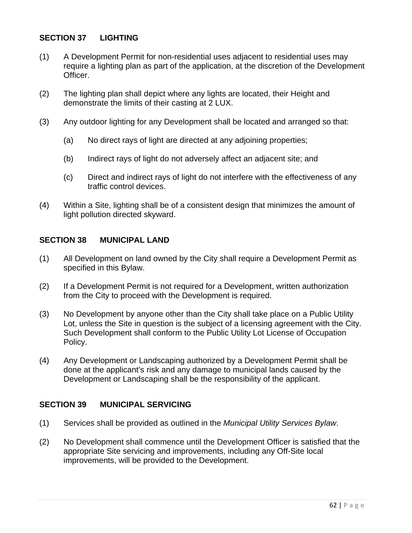### **SECTION 37 LIGHTING**

- (1) A Development Permit for non-residential uses adjacent to residential uses may require a lighting plan as part of the application, at the discretion of the Development Officer.
- (2) The lighting plan shall depict where any lights are located, their Height and demonstrate the limits of their casting at 2 LUX.
- (3) Any outdoor lighting for any Development shall be located and arranged so that:
	- (a) No direct rays of light are directed at any adjoining properties;
	- (b) Indirect rays of light do not adversely affect an adjacent site; and
	- (c) Direct and indirect rays of light do not interfere with the effectiveness of any traffic control devices.
- (4) Within a Site, lighting shall be of a consistent design that minimizes the amount of light pollution directed skyward.

#### **SECTION 38 MUNICIPAL LAND**

- (1) All Development on land owned by the City shall require a Development Permit as specified in this Bylaw.
- (2) If a Development Permit is not required for a Development, written authorization from the City to proceed with the Development is required.
- (3) No Development by anyone other than the City shall take place on a Public Utility Lot, unless the Site in question is the subject of a licensing agreement with the City. Such Development shall conform to the Public Utility Lot License of Occupation Policy.
- (4) Any Development or Landscaping authorized by a Development Permit shall be done at the applicant's risk and any damage to municipal lands caused by the Development or Landscaping shall be the responsibility of the applicant.

#### **SECTION 39 MUNICIPAL SERVICING**

- (1) Services shall be provided as outlined in the *Municipal Utility Services Bylaw*.
- (2) No Development shall commence until the Development Officer is satisfied that the appropriate Site servicing and improvements, including any Off-Site local improvements, will be provided to the Development.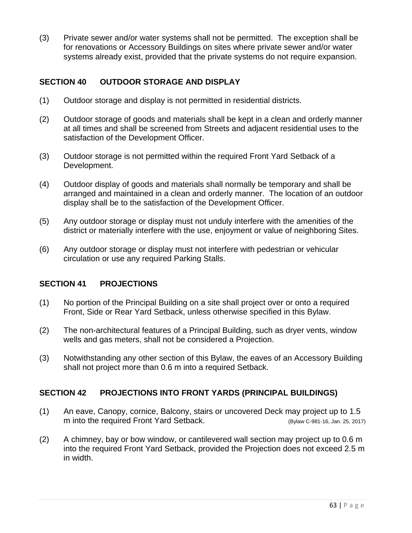(3) Private sewer and/or water systems shall not be permitted. The exception shall be for renovations or Accessory Buildings on sites where private sewer and/or water systems already exist, provided that the private systems do not require expansion.

# **SECTION 40 OUTDOOR STORAGE AND DISPLAY**

- (1) Outdoor storage and display is not permitted in residential districts.
- (2) Outdoor storage of goods and materials shall be kept in a clean and orderly manner at all times and shall be screened from Streets and adjacent residential uses to the satisfaction of the Development Officer.
- (3) Outdoor storage is not permitted within the required Front Yard Setback of a Development.
- (4) Outdoor display of goods and materials shall normally be temporary and shall be arranged and maintained in a clean and orderly manner. The location of an outdoor display shall be to the satisfaction of the Development Officer.
- (5) Any outdoor storage or display must not unduly interfere with the amenities of the district or materially interfere with the use, enjoyment or value of neighboring Sites.
- (6) Any outdoor storage or display must not interfere with pedestrian or vehicular circulation or use any required Parking Stalls.

#### **SECTION 41 PROJECTIONS**

- (1) No portion of the Principal Building on a site shall project over or onto a required Front, Side or Rear Yard Setback, unless otherwise specified in this Bylaw.
- (2) The non-architectural features of a Principal Building, such as dryer vents, window wells and gas meters, shall not be considered a Projection.
- (3) Notwithstanding any other section of this Bylaw, the eaves of an Accessory Building shall not project more than 0.6 m into a required Setback.

#### **SECTION 42 PROJECTIONS INTO FRONT YARDS (PRINCIPAL BUILDINGS)**

- (1) An eave, Canopy, cornice, Balcony, stairs or uncovered Deck may project up to 1.5 m into the required Front Yard Setback. (Bylaw C-981-16, Jan. 25, 2017)
- (2) A chimney, bay or bow window, or cantilevered wall section may project up to 0.6 m into the required Front Yard Setback, provided the Projection does not exceed 2.5 m in width.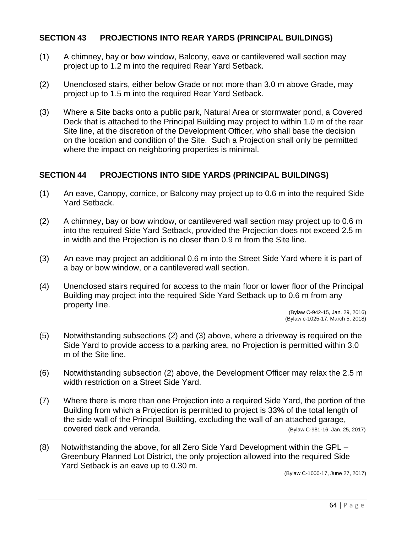#### **SECTION 43 PROJECTIONS INTO REAR YARDS (PRINCIPAL BUILDINGS)**

- (1) A chimney, bay or bow window, Balcony, eave or cantilevered wall section may project up to 1.2 m into the required Rear Yard Setback.
- (2) Unenclosed stairs, either below Grade or not more than 3.0 m above Grade, may project up to 1.5 m into the required Rear Yard Setback.
- (3) Where a Site backs onto a public park, Natural Area or stormwater pond, a Covered Deck that is attached to the Principal Building may project to within 1.0 m of the rear Site line, at the discretion of the Development Officer, who shall base the decision on the location and condition of the Site. Such a Projection shall only be permitted where the impact on neighboring properties is minimal.

#### **SECTION 44 PROJECTIONS INTO SIDE YARDS (PRINCIPAL BUILDINGS)**

- (1) An eave, Canopy, cornice, or Balcony may project up to 0.6 m into the required Side Yard Setback.
- (2) A chimney, bay or bow window, or cantilevered wall section may project up to 0.6 m into the required Side Yard Setback, provided the Projection does not exceed 2.5 m in width and the Projection is no closer than 0.9 m from the Site line.
- (3) An eave may project an additional 0.6 m into the Street Side Yard where it is part of a bay or bow window, or a cantilevered wall section.
- (4) Unenclosed stairs required for access to the main floor or lower floor of the Principal Building may project into the required Side Yard Setback up to 0.6 m from any property line.

(Bylaw C-942-15, Jan. 29, 2016) (Bylaw c-1025-17, March 5, 2018)

- (5) Notwithstanding subsections (2) and (3) above, where a driveway is required on the Side Yard to provide access to a parking area, no Projection is permitted within 3.0 m of the Site line.
- (6) Notwithstanding subsection (2) above, the Development Officer may relax the 2.5 m width restriction on a Street Side Yard.
- (7) Where there is more than one Projection into a required Side Yard, the portion of the Building from which a Projection is permitted to project is 33% of the total length of the side wall of the Principal Building, excluding the wall of an attached garage, covered deck and veranda. (Bylaw C-981-16, Jan. 25, 2017)
- (8) Notwithstanding the above, for all Zero Side Yard Development within the GPL Greenbury Planned Lot District, the only projection allowed into the required Side Yard Setback is an eave up to 0.30 m.

(Bylaw C-1000-17, June 27, 2017)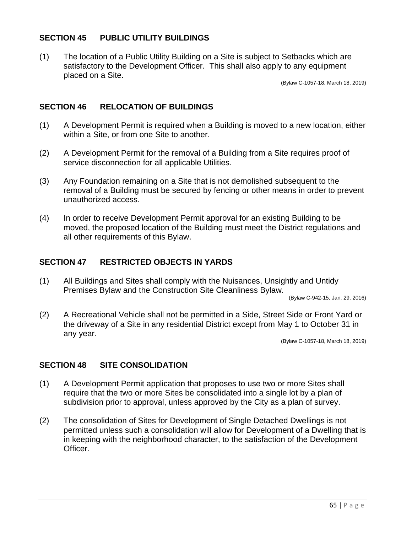### **SECTION 45 PUBLIC UTILITY BUILDINGS**

(1) The location of a Public Utility Building on a Site is subject to Setbacks which are satisfactory to the Development Officer. This shall also apply to any equipment placed on a Site.

(Bylaw C-1057-18, March 18, 2019)

#### **SECTION 46 RELOCATION OF BUILDINGS**

- (1) A Development Permit is required when a Building is moved to a new location, either within a Site, or from one Site to another.
- (2) A Development Permit for the removal of a Building from a Site requires proof of service disconnection for all applicable Utilities.
- (3) Any Foundation remaining on a Site that is not demolished subsequent to the removal of a Building must be secured by fencing or other means in order to prevent unauthorized access.
- (4) In order to receive Development Permit approval for an existing Building to be moved, the proposed location of the Building must meet the District regulations and all other requirements of this Bylaw.

# **SECTION 47 RESTRICTED OBJECTS IN YARDS**

(1) All Buildings and Sites shall comply with the Nuisances, Unsightly and Untidy Premises Bylaw and the Construction Site Cleanliness Bylaw.

(Bylaw C-942-15, Jan. 29, 2016)

(2) A Recreational Vehicle shall not be permitted in a Side, Street Side or Front Yard or the driveway of a Site in any residential District except from May 1 to October 31 in any year.

(Bylaw C-1057-18, March 18, 2019)

#### **SECTION 48 SITE CONSOLIDATION**

- (1) A Development Permit application that proposes to use two or more Sites shall require that the two or more Sites be consolidated into a single lot by a plan of subdivision prior to approval, unless approved by the City as a plan of survey.
- (2) The consolidation of Sites for Development of Single Detached Dwellings is not permitted unless such a consolidation will allow for Development of a Dwelling that is in keeping with the neighborhood character, to the satisfaction of the Development Officer.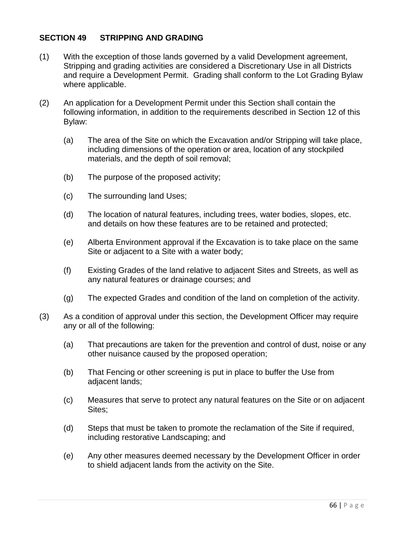### **SECTION 49 STRIPPING AND GRADING**

- (1) With the exception of those lands governed by a valid Development agreement, Stripping and grading activities are considered a Discretionary Use in all Districts and require a Development Permit. Grading shall conform to the Lot Grading Bylaw where applicable.
- (2) An application for a Development Permit under this Section shall contain the following information, in addition to the requirements described in Section 12 of this Bylaw:
	- (a) The area of the Site on which the Excavation and/or Stripping will take place, including dimensions of the operation or area, location of any stockpiled materials, and the depth of soil removal;
	- (b) The purpose of the proposed activity;
	- (c) The surrounding land Uses;
	- (d) The location of natural features, including trees, water bodies, slopes, etc. and details on how these features are to be retained and protected;
	- (e) Alberta Environment approval if the Excavation is to take place on the same Site or adjacent to a Site with a water body;
	- (f) Existing Grades of the land relative to adjacent Sites and Streets, as well as any natural features or drainage courses; and
	- (g) The expected Grades and condition of the land on completion of the activity.
- (3) As a condition of approval under this section, the Development Officer may require any or all of the following:
	- (a) That precautions are taken for the prevention and control of dust, noise or any other nuisance caused by the proposed operation;
	- (b) That Fencing or other screening is put in place to buffer the Use from adjacent lands;
	- (c) Measures that serve to protect any natural features on the Site or on adjacent Sites;
	- (d) Steps that must be taken to promote the reclamation of the Site if required, including restorative Landscaping; and
	- (e) Any other measures deemed necessary by the Development Officer in order to shield adjacent lands from the activity on the Site.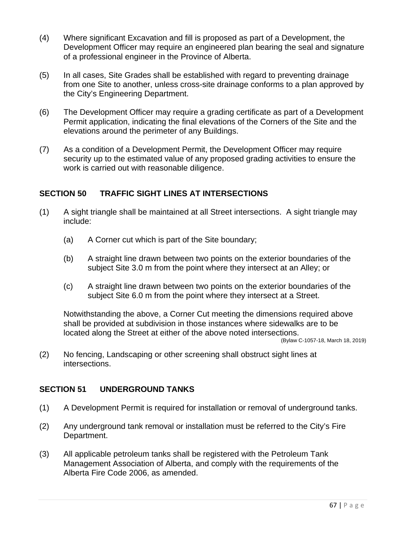- (4) Where significant Excavation and fill is proposed as part of a Development, the Development Officer may require an engineered plan bearing the seal and signature of a professional engineer in the Province of Alberta.
- (5) In all cases, Site Grades shall be established with regard to preventing drainage from one Site to another, unless cross-site drainage conforms to a plan approved by the City's Engineering Department.
- (6) The Development Officer may require a grading certificate as part of a Development Permit application, indicating the final elevations of the Corners of the Site and the elevations around the perimeter of any Buildings.
- (7) As a condition of a Development Permit, the Development Officer may require security up to the estimated value of any proposed grading activities to ensure the work is carried out with reasonable diligence.

# **SECTION 50 TRAFFIC SIGHT LINES AT INTERSECTIONS**

- (1) A sight triangle shall be maintained at all Street intersections. A sight triangle may include:
	- (a) A Corner cut which is part of the Site boundary;
	- (b) A straight line drawn between two points on the exterior boundaries of the subject Site 3.0 m from the point where they intersect at an Alley; or
	- (c) A straight line drawn between two points on the exterior boundaries of the subject Site 6.0 m from the point where they intersect at a Street.

Notwithstanding the above, a Corner Cut meeting the dimensions required above shall be provided at subdivision in those instances where sidewalks are to be located along the Street at either of the above noted intersections. (Bylaw C-1057-18, March 18, 2019)

(2) No fencing, Landscaping or other screening shall obstruct sight lines at intersections.

# **SECTION 51 UNDERGROUND TANKS**

- (1) A Development Permit is required for installation or removal of underground tanks.
- (2) Any underground tank removal or installation must be referred to the City's Fire Department.
- (3) All applicable petroleum tanks shall be registered with the Petroleum Tank Management Association of Alberta, and comply with the requirements of the Alberta Fire Code 2006, as amended.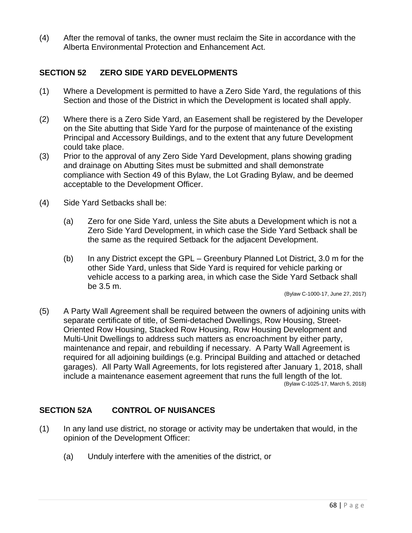(4) After the removal of tanks, the owner must reclaim the Site in accordance with the Alberta Environmental Protection and Enhancement Act.

## **SECTION 52 ZERO SIDE YARD DEVELOPMENTS**

- (1) Where a Development is permitted to have a Zero Side Yard, the regulations of this Section and those of the District in which the Development is located shall apply.
- (2) Where there is a Zero Side Yard, an Easement shall be registered by the Developer on the Site abutting that Side Yard for the purpose of maintenance of the existing Principal and Accessory Buildings, and to the extent that any future Development could take place.
- (3) Prior to the approval of any Zero Side Yard Development, plans showing grading and drainage on Abutting Sites must be submitted and shall demonstrate compliance with Section 49 of this Bylaw, the Lot Grading Bylaw, and be deemed acceptable to the Development Officer.
- (4) Side Yard Setbacks shall be:
	- (a) Zero for one Side Yard, unless the Site abuts a Development which is not a Zero Side Yard Development, in which case the Side Yard Setback shall be the same as the required Setback for the adjacent Development.
	- (b) In any District except the GPL Greenbury Planned Lot District, 3.0 m for the other Side Yard, unless that Side Yard is required for vehicle parking or vehicle access to a parking area, in which case the Side Yard Setback shall be 3.5 m.

(Bylaw C-1000-17, June 27, 2017)

(5) A Party Wall Agreement shall be required between the owners of adjoining units with separate certificate of title, of Semi-detached Dwellings, Row Housing, Street-Oriented Row Housing, Stacked Row Housing, Row Housing Development and Multi-Unit Dwellings to address such matters as encroachment by either party, maintenance and repair, and rebuilding if necessary. A Party Wall Agreement is required for all adjoining buildings (e.g. Principal Building and attached or detached garages). All Party Wall Agreements, for lots registered after January 1, 2018, shall include a maintenance easement agreement that runs the full length of the lot. (Bylaw C-1025-17, March 5, 2018)

#### **SECTION 52A CONTROL OF NUISANCES**

- (1) In any land use district, no storage or activity may be undertaken that would, in the opinion of the Development Officer:
	- (a) Unduly interfere with the amenities of the district, or